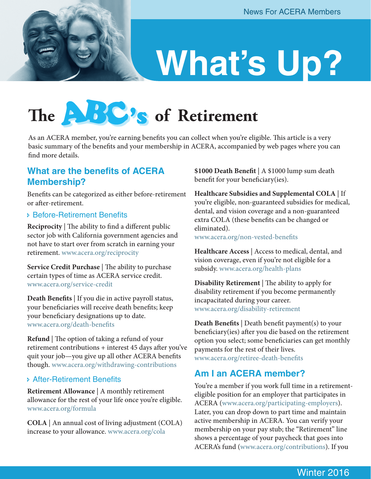## **What's Up?**

## The **ABC's** of Retirement

As an ACERA member, you're earning benefits you can collect when you're eligible. This article is a very basic summary of the benefits and your membership in ACERA, accompanied by web pages where you can find more details.

#### **What are the benefits of ACERA Membership?**

Benefits can be categorized as either before-retirement or after-retirement.

#### Ð Before-Retirement Benefits

**Reciprocity** | The ability to find a different public sector job with California government agencies and not have to start over from scratch in earning your retirement. [www.acera.org/reciprocity](http://www.acera.org/reciprocity)

**Service Credit Purchase** | The ability to purchase certain types of time as ACERA service credit. [www.acera.org/service-credit](http://www.acera.org/service-credit)

**Death Benefits** | If you die in active payroll status, your beneficiaries will receive death benefits; keep your beneficiary designations up to date. [www.acera.org/death-benefits](http://www.acera.org/death-benefits)

**Refund** | The option of taking a refund of your retirement contributions + interest 45 days after you've quit your job—you give up all other ACERA benefits though. [www.acera.org/withdrawing-contributions](http://www.acera.org/withdrawing-contributions)

#### Ð After-Retirement Benefits

**Retirement Allowance** | A monthly retirement allowance for the rest of your life once you're eligible. [www.acera.org/formula](www.acera.org/formulahttp://)

**COLA** | An annual cost of living adjustment (COLA) increase to your allowance. [www.acera.org/cola](http://www.acera.org/cola)

**\$1000 Death Benefit** | A \$1000 lump sum death benefit for your beneficiary(ies).

**Healthcare Subsidies and Supplemental COLA** | If you're eligible, non-guaranteed subsidies for medical, dental, and vision coverage and a non-guaranteed extra COLA (these benefits can be changed or eliminated).

[www.acera.org/non-vested-benefits](http://www.acera.org/non-vested-benefits)

**Healthcare Access** | Access to medical, dental, and vision coverage, even if you're not eligible for a subsidy. [www.acera.org/health-plans](http://www.acera.org/health-plans)

**Disability Retirement** | The ability to apply for disability retirement if you become permanently incapacitated during your career. [www.acera.org/disability-retirement](http://www.acera.org/disability-retirement
)

**Death Benefits** | Death benefit payment(s) to your beneficiary(ies) after you die based on the retirement option you select; some beneficiaries can get monthly payments for the rest of their lives. [www.acera.org/retiree-death-benefits](http://www.acera.org/retiree-death-benefits)

#### **Am I an ACERA member?**

You're a member if you work full time in a retirementeligible position for an employer that participates in ACERA ([www.acera.org/participating-employers\)](http://www.acera.org/participating-employers). Later, you can drop down to part time and maintain active membership in ACERA. You can verify your membership on your pay stub; the "Retirement" line shows a percentage of your paycheck that goes into ACERA's fund ([www.acera.org/contributions](http://www.acera.org/contributions)). If you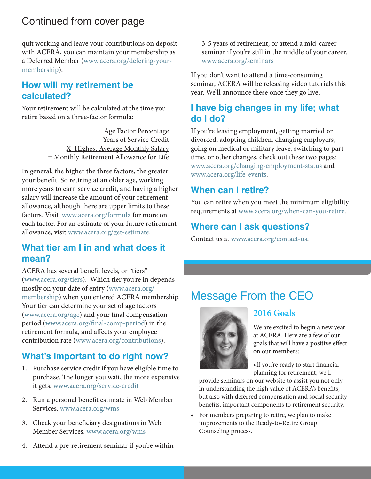#### Continued from cover page

quit working and leave your contributions on deposit with ACERA, you can maintain your membership as a Deferred Member [\(www.acera.org/defering-your](http://www.acera.org/defering-your-membership)[membership\)](http://www.acera.org/defering-your-membership).

#### **How will my retirement be calculated?**

Your retirement will be calculated at the time you retire based on a three-factor formula:

> Age Factor Percentage Years of Service Credit X Highest Average Monthly Salary = Monthly Retirement Allowance for Life

In general, the higher the three factors, the greater your benefit. So retiring at an older age, working more years to earn service credit, and having a higher salary will increase the amount of your retirement allowance, although there are upper limits to these factors. Visit [www.acera.org/formula](http://www.acera.org/formula) for more on each factor. For an estimate of your future retirement allowance, visit<www.acera.org/get-estimate>.

#### **What tier am I in and what does it mean?**

ACERA has several benefit levels, or "tiers" [\(www.acera.org/tiers](http://www.acera.org/tiers)). Which tier you're in depends mostly on your date of entry ([www.acera.org/](http://www.acera.org/membership) [membership\)](http://www.acera.org/membership) when you entered ACERA membership. Your tier can determine your set of age factors [\(www.acera.org/age](http://www.acera.org/age-retirement)) and your final compensation period ([www.acera.org/final-comp-period](http://www.acera.org/final-comp-period)) in the retirement formula, and affects your employee contribution rate [\(www.acera.org/contributions\)](http://www.acera.org/contributions).

#### **What's important to do right now?**

- 1. Purchase service credit if you have eligible time to purchase. The longer you wait, the more expensive it gets. [www.acera.org/service-credit](http://www.acera.org/service-credit)
- 2. Run a personal benefit estimate in Web Member Services. [www.acera.org/wms](http://www.acera.org/wms)
- 3. Check your beneficiary designations in Web Member Services. [www.acera.org/wms](http://www.acera.org/wms)
- 4. Attend a pre-retirement seminar if you're within

3-5 years of retirement, or attend a mid-career seminar if you're still in the middle of your career. [www.acera.org/seminars](http://www.acera.org/seminars)

If you don't want to attend a time-consuming seminar, ACERA will be releasing video tutorials this year. We'll announce these once they go live.

#### **I have big changes in my life; what do I do?**

If you're leaving employment, getting married or divorced, adopting children, changing employers, going on medical or military leave, switching to part time, or other changes, check out these two pages: [www.acera.org/changing-employment-status](http://www.acera.org/changing-employment-status) and [www.acera.org/life-events.](http://www.acera.org/life-events)

#### **When can I retire?**

You can retire when you meet the minimum eligibility requirements at [www.acera.org/when-can-you-retire.](http://www.acera.org/when-can-you-retire)

#### **Where can I ask questions?**

Contact us at [www.acera.org/contact-us](http://www.acera.org/contact-us).

#### Message From the CEO



#### **2016 Goals**

We are excited to begin a new year at ACERA. Here are a few of our goals that will have a positive effect on our members:

•If you're ready to start financial planning for retirement, we'll

provide seminars on our website to assist you not only in understanding the high value of ACERA's benefits, but also with deferred compensation and social security benefits, important components to retirement security.

For members preparing to retire, we plan to make improvements to the Ready-to-Retire Group Counseling process.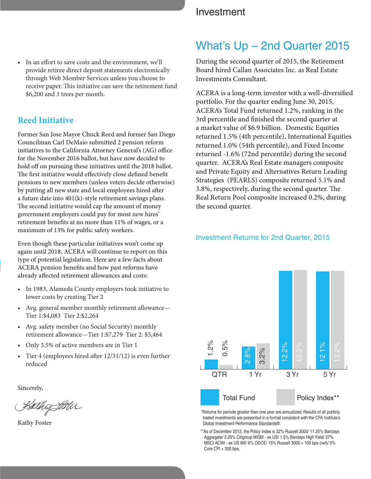• In an effort to save costs and the environment, we'll provide retiree direct deposit statements electronically through Web Member Services unless you choose to receive paper. This initiative can save the retirement fund \$6,200 and 3 trees per month.

#### **Reed Initiative**

Former San Jose Mayor Chuck Reed and former San Diego Councilman Carl DeMaio submitted 2 pension reform initiatives to the California Attorney General's (AG) office for the November 2016 ballot, but have now decided to hold off on pursuing these initiatives until the 2018 ballot. The first initiative would effectively close defined benefit pensions to new members (unless voters decide otherwise) by putting all new state and local employees hired after a future date into 401(k)-style retirement savings plans. The second initiative would cap the amount of money government employers could pay for most new hires' retirement benefits at no more than 11% of wages, or a maximum of 13% for public safety workers.

Even though these particular initiatives won't come up again until 2018, ACERA will continue to report on this type of potential legislation. Here are a few facts about ACERA pension benefits and how past reforms have already affected retirement allowances and costs:

- In 1983, Alameda County employers took initiative to lower costs by creating Tier 2
- Avg. general member monthly retirement allowance— Tier 1:\$4,083 Tier 2:\$2,264
- Avg. safety member (no Social Security) monthly retirement allowance—Tier 1:\$7,279 Tier 2: \$5,464
- Only 3.5% of active members are in Tier 1
- Tier 4 (employees hired after 12/31/12) is even further reduced

Sincerely,

Kathof Bitu

Kathy Foster

#### Investment

#### What's Up – 2nd Quarter 2015

During the second quarter of 2015, the Retirement Board hired Callan Associates Inc. as Real Estate Investments Consultant.

ACERA is a long-term investor with a well-diversified portfolio. For the quarter ending June 30, 2015, ACERA's Total Fund returned 1.2%, ranking in the 3rd percentile and finished the second quarter at a market value of \$6.9 billion. Domestic Equities returned 1.5% (4th percentile), International Equities returned 1.0% (54th percentile), and Fixed Income returned -1.6% (72nd percentile) during the second quarter. ACERA's Real Estate managers composite and Private Equity and Alternatives Return Leading Strategies (PEARLS) composite returned 5.1% and 3.8%, respectively, during the second quarter. The Real Return Pool composite increased 0.2%, during the second quarter.

#### Investment Returns for 2nd Quarter, 2015



\*Returns for periods greater than one year are annualized. Results of all publicly traded investments are presented in a format consistent with the CFA Institute's Global Investment Performance Standards®.

\*\*As of December 2012, the Policy Index is 32% Russell 3000/ 11.25% Barclays Aggregate/ 2.25% Citigroup WGBI - ex US/ 1.5% Barclays High Yield/ 27% MSCI ACWI - ex US IMI/ 6% ODCE/ 15% Russell 3000 + 100 bps (net)/ 5% Core CPI + 300 bps.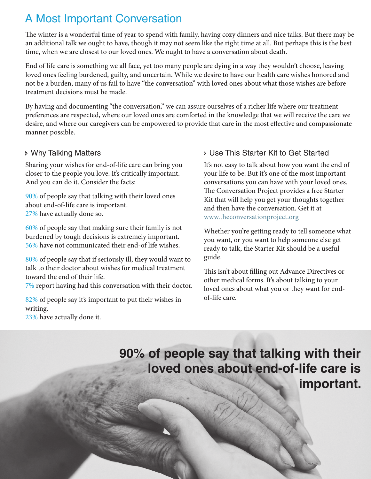#### A Most Important Conversation

The winter is a wonderful time of year to spend with family, having cozy dinners and nice talks. But there may be an additional talk we ought to have, though it may not seem like the right time at all. But perhaps this is the best time, when we are closest to our loved ones. We ought to have a conversation about death.

End of life care is something we all face, yet too many people are dying in a way they wouldn't choose, leaving loved ones feeling burdened, guilty, and uncertain. While we desire to have our health care wishes honored and not be a burden, many of us fail to have "the conversation" with loved ones about what those wishes are before treatment decisions must be made.

By having and documenting "the conversation," we can assure ourselves of a richer life where our treatment preferences are respected, where our loved ones are comforted in the knowledge that we will receive the care we desire, and where our caregivers can be empowered to provide that care in the most effective and compassionate manner possible.

#### Ð Why Talking Matters

Sharing your wishes for end-of-life care can bring you closer to the people you love. It's critically important. And you can do it. Consider the facts:

90% of people say that talking with their loved ones about end-of-life care is important. 27% have actually done so.

60% of people say that making sure their family is not burdened by tough decisions is extremely important. 56% have not communicated their end-of life wishes.

80% of people say that if seriously ill, they would want to talk to their doctor about wishes for medical treatment toward the end of their life.

7% report having had this conversation with their doctor.

82% of people say it's important to put their wishes in writing.

23% have actually done it.

#### Ð Use This Starter Kit to Get Started

It's not easy to talk about how you want the end of your life to be. But it's one of the most important conversations you can have with your loved ones. The Conversation Project provides a free Starter Kit that will help you get your thoughts together and then have the conversation. Get it at [www.theconversationproject.org](http://www.theconversationproject.org)

Whether you're getting ready to tell someone what you want, or you want to help someone else get ready to talk, the Starter Kit should be a useful guide.

This isn't about filling out Advance Directives or other medical forms. It's about talking to your loved ones about what you or they want for endof-life care.

#### **90% of people say that talking with their loved ones about end-of-life care is important.**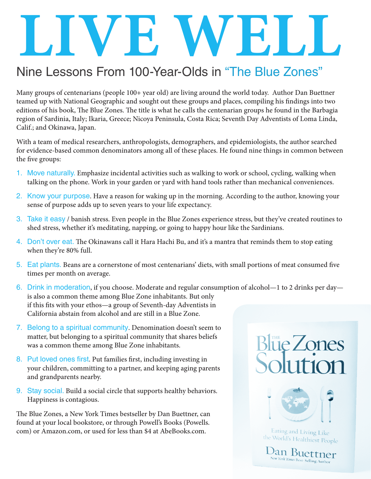# LIVE WELL

### Nine Lessons From 100-Year-Olds in "The Blue Zones"

Many groups of centenarians (people 100+ year old) are living around the world today. Author Dan Buettner teamed up with National Geographic and sought out these groups and places, compiling his findings into two editions of his book, The Blue Zones. The title is what he calls the centenarian groups he found in the Barbagia region of Sardinia, Italy; Ikaria, Greece; Nicoya Peninsula, Costa Rica; Seventh Day Adventists of Loma Linda, Calif.; and Okinawa, Japan.

With a team of medical researchers, anthropologists, demographers, and epidemiologists, the author searched for evidence-based common denominators among all of these places. He found nine things in common between the five groups:

- 1. Move naturally. Emphasize incidental activities such as walking to work or school, cycling, walking when talking on the phone. Work in your garden or yard with hand tools rather than mechanical conveniences.
- 2. Know your purpose. Have a reason for waking up in the morning. According to the author, knowing your sense of purpose adds up to seven years to your life expectancy.
- 3. Take it easy / banish stress. Even people in the Blue Zones experience stress, but they've created routines to shed stress, whether it's meditating, napping, or going to happy hour like the Sardinians.
- 4. Don't over eat. The Okinawans call it Hara Hachi Bu, and it's a mantra that reminds them to stop eating when they're 80% full.
- 5. Eat plants. Beans are a cornerstone of most centenarians' diets, with small portions of meat consumed five times per month on average.
- 6. Drink in moderation, if you choose. Moderate and regular consumption of alcohol—1 to 2 drinks per day is also a common theme among Blue Zone inhabitants. But only if this fits with your ethos—a group of Seventh-day Adventists in California abstain from alcohol and are still in a Blue Zone.
- 7. Belong to a spiritual community. Denomination doesn't seem to matter, but belonging to a spiritual community that shares beliefs was a common theme among Blue Zone inhabitants.
- 8. Put loved ones first. Put families first, including investing in your children, committing to a partner, and keeping aging parents and grandparents nearby.
- 9. Stay social. Build a social circle that supports healthy behaviors. Happiness is contagious.

The Blue Zones, a New York Times bestseller by Dan Buettner, can found at your local bookstore, or through Powell's Books (Powells. com) or Amazon.com, or used for less than \$4 at AbeBooks.com.



Eating and Living Like the World's Healthiest People

 $D_{\text{A}}$ n Buettner New York Times Best-Selling Author